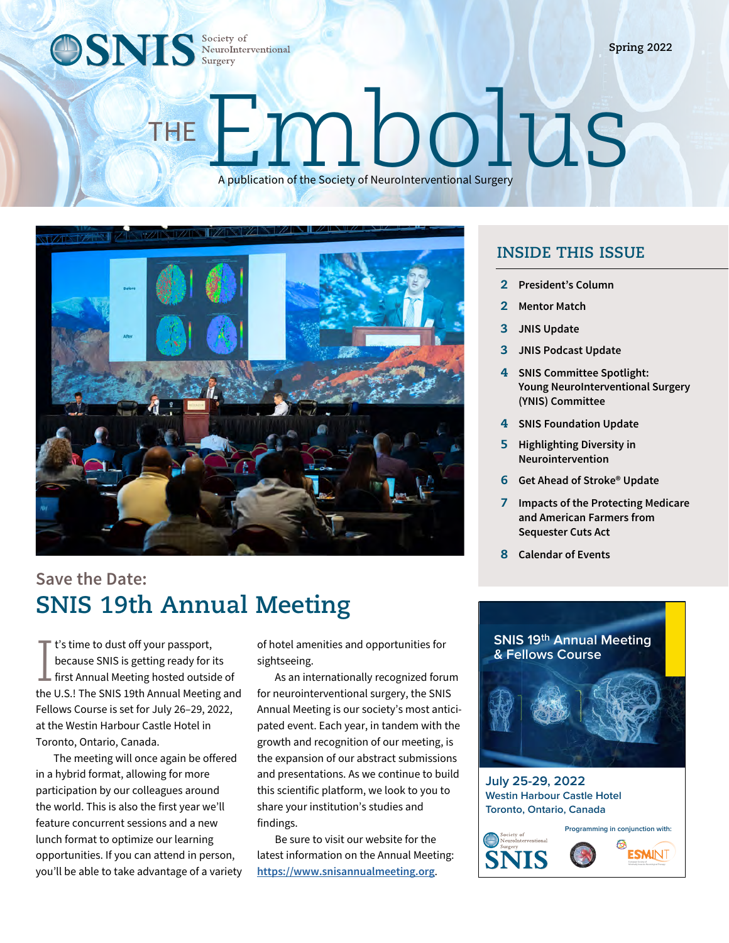**OSNIS** Society of NeuroInterventional Society of

# Embolus A publication of the Society of NeuroInterventional Surgery



## **Save the Date: SNIS 19th Annual Meeting**

I  $\mathbb T$  t's time to dust off your passport, because SNIS is getting ready for its first Annual Meeting hosted outside of the U.S.! The SNIS 19th Annual Meeting and Fellows Course is set for July 26–29, 2022, at the Westin Harbour Castle Hotel in Toronto, Ontario, Canada.

The meeting will once again be offered in a hybrid format, allowing for more participation by our colleagues around the world. This is also the first year we'll feature concurrent sessions and a new lunch format to optimize our learning opportunities. If you can attend in person, you'll be able to take advantage of a variety of hotel amenities and opportunities for sightseeing.

As an internationally recognized forum for neurointerventional surgery, the SNIS Annual Meeting is our society's most anticipated event. Each year, in tandem with the growth and recognition of our meeting, is the expansion of our abstract submissions and presentations. As we continue to build this scientific platform, we look to you to share your institution's studies and findings.

Be sure to visit our website for the latest information on the Annual Meeting: **[https://www.snisannualmeeting.org](http://snisannualmeeting.org)**.

#### **INSIDE THIS ISSUE**

- 2 **President's Column**
- 2 **Mentor Match**
- 3 **JNIS Update**
- 3 **JNIS Podcast Update**
- 4 **SNIS Committee Spotlight: Young NeuroInterventional Surgery (YNIS) Committee**
- 4 **SNIS Foundation Update**
- 5 **Highlighting Diversity in Neurointervention**
- 6 **Get Ahead of Stroke® Update**
- 7 **Impacts of the Protecting Medicare and American Farmers from Sequester Cuts Act**
- 8 **Calendar of Events**



**July 25-29, 2022 Westin Harbour Castle Hotel Toronto, Ontario, Canada**

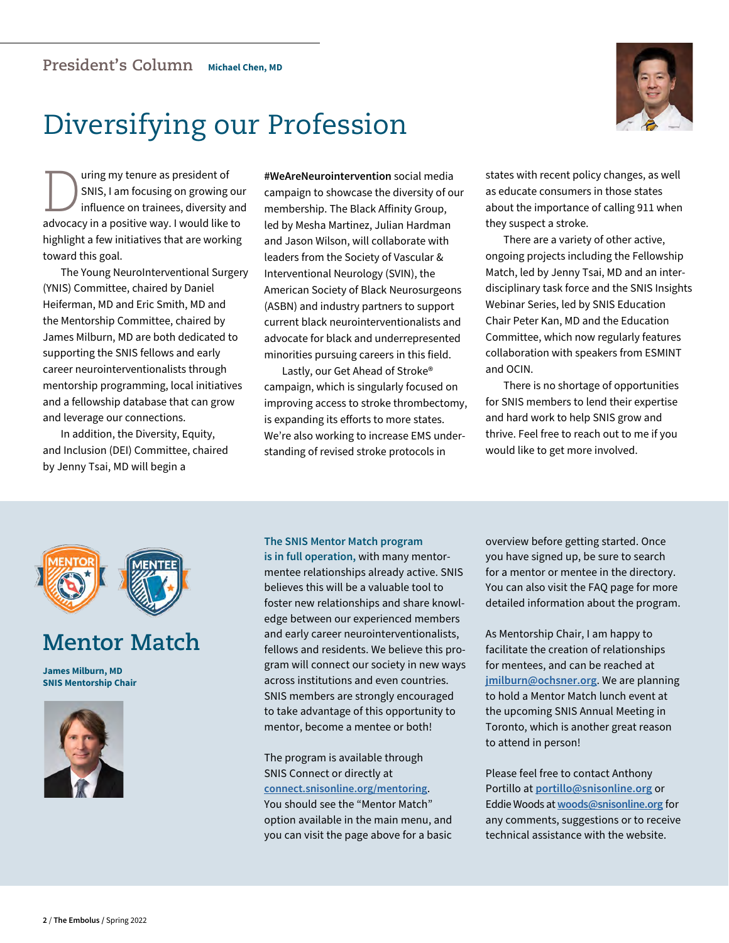

## Diversifying our Profession

Using my tenure as president of<br>SNIS, I am focusing on growing<br>influence on trainees, diversity and the presiding use the state like SNIS, I am focusing on growing our influence on trainees, diversity and advocacy in a positive way. I would like to highlight a few initiatives that are working toward this goal.

The Young NeuroInterventional Surgery (YNIS) Committee, chaired by Daniel Heiferman, MD and Eric Smith, MD and the Mentorship Committee, chaired by James Milburn, MD are both dedicated to supporting the SNIS fellows and early career neurointerventionalists through mentorship programming, local initiatives and a fellowship database that can grow and leverage our connections.

In addition, the Diversity, Equity, and Inclusion (DEI) Committee, chaired by Jenny Tsai, MD will begin a

**#WeAreNeurointervention** social media campaign to showcase the diversity of our membership. The Black Affinity Group, led by Mesha Martinez, Julian Hardman and Jason Wilson, will collaborate with leaders from the Society of Vascular & Interventional Neurology (SVIN), the American Society of Black Neurosurgeons (ASBN) and industry partners to support current black neurointerventionalists and advocate for black and underrepresented minorities pursuing careers in this field.

Lastly, our Get Ahead of Stroke® campaign, which is singularly focused on improving access to stroke thrombectomy, is expanding its efforts to more states. We're also working to increase EMS understanding of revised stroke protocols in

states with recent policy changes, as well as educate consumers in those states about the importance of calling 911 when they suspect a stroke.

There are a variety of other active, ongoing projects including the Fellowship Match, led by Jenny Tsai, MD and an interdisciplinary task force and the SNIS Insights Webinar Series, led by SNIS Education Chair Peter Kan, MD and the Education Committee, which now regularly features collaboration with speakers from ESMINT and OCIN.

There is no shortage of opportunities for SNIS members to lend their expertise and hard work to help SNIS grow and thrive. Feel free to reach out to me if you would like to get more involved.



## **Mentor Match**

**James Milburn, MD SNIS Mentorship Chair**



#### **The SNIS Mentor Match program**

**is in full operation,** with many mentormentee relationships already active. SNIS believes this will be a valuable tool to foster new relationships and share knowledge between our experienced members and early career neurointerventionalists, fellows and residents. We believe this program will connect our society in new ways across institutions and even countries. SNIS members are strongly encouraged to take advantage of this opportunity to mentor, become a mentee or both!

The program is available through SNIS Connect or directly at **[connect.snisonline.org/mentoring](https://snis.memberclicks.net/login#/login)**.

You should see the "Mentor Match" option available in the main menu, and you can visit the page above for a basic overview before getting started. Once you have signed up, be sure to search for a mentor or mentee in the directory. You can also visit the FAQ page for more detailed information about the program.

As Mentorship Chair, I am happy to facilitate the creation of relationships for mentees, and can be reached at **jmilburn@ochsner.org**. We are planning to hold a Mentor Match lunch event at the upcoming SNIS Annual Meeting in Toronto, which is another great reason to attend in person!

Please feel free to contact Anthony Portillo at **portillo@snisonline.org** or Eddie Woods at **woods@snisonline.org** for any comments, suggestions or to receive technical assistance with the website.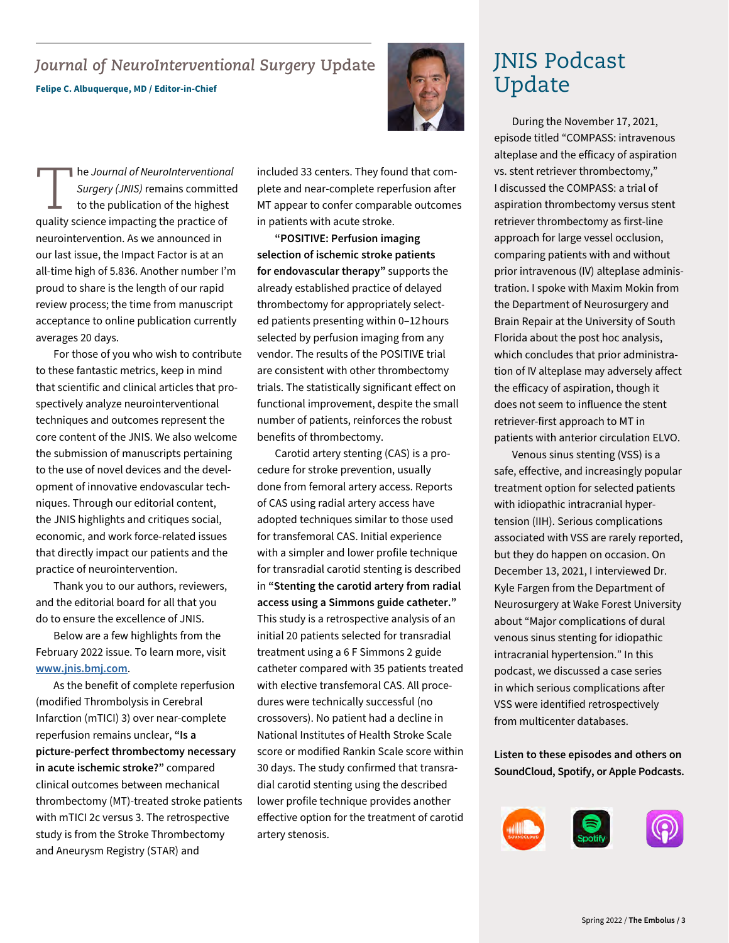#### *Journal of NeuroInterventional Surgery* **Update Felipe C. Albuquerque, MD / Editor-in-Chief**



The *Journal of NeuroInterventional*<br> *Surgery (JNIS)* remains committed<br>
to the publication of the highest<br>
quality science impacting the practice of *Surgery (JNIS)* remains committed to the publication of the highest quality science impacting the practice of neurointervention. As we announced in our last issue, the Impact Factor is at an all-time high of 5.836. Another number I'm proud to share is the length of our rapid review process; the time from manuscript acceptance to online publication currently averages 20 days.

For those of you who wish to contribute to these fantastic metrics, keep in mind that scientific and clinical articles that prospectively analyze neurointerventional techniques and outcomes represent the core content of the JNIS. We also welcome the submission of manuscripts pertaining to the use of novel devices and the development of innovative endovascular techniques. Through our editorial content, the JNIS highlights and critiques social, economic, and work force-related issues that directly impact our patients and the practice of neurointervention.

Thank you to our authors, reviewers, and the editorial board for all that you do to ensure the excellence of JNIS.

Below are a few highlights from the February 2022 issue. To learn more, visit **[www.jnis.bmj.com](https://jnis.bmj.com)**.

As the benefit of complete reperfusion (modified Thrombolysis in Cerebral Infarction (mTICI) 3) over near-complete reperfusion remains unclear, **"Is a picture-perfect thrombectomy necessary in acute ischemic stroke?"** compared clinical outcomes between mechanical thrombectomy (MT)-treated stroke patients with mTICI 2c versus 3. The retrospective study is from the Stroke Thrombectomy and Aneurysm Registry (STAR) and

included 33 centers. They found that complete and near-complete reperfusion after MT appear to confer comparable outcomes in patients with acute stroke.

**"POSITIVE: Perfusion imaging selection of ischemic stroke patients for endovascular therapy"** supports the already established practice of delayed thrombectomy for appropriately selected patients presenting within 0–12 hours selected by perfusion imaging from any vendor. The results of the POSITIVE trial are consistent with other thrombectomy trials. The statistically significant effect on functional improvement, despite the small number of patients, reinforces the robust benefits of thrombectomy.

Carotid artery stenting (CAS) is a procedure for stroke prevention, usually done from femoral artery access. Reports of CAS using radial artery access have adopted techniques similar to those used for transfemoral CAS. Initial experience with a simpler and lower profile technique for transradial carotid stenting is described in **"Stenting the carotid artery from radial access using a Simmons guide catheter."** This study is a retrospective analysis of an initial 20 patients selected for transradial treatment using a 6 F Simmons 2 guide catheter compared with 35 patients treated with elective transfemoral CAS. All procedures were technically successful (no crossovers). No patient had a decline in National Institutes of Health Stroke Scale score or modified Rankin Scale score within 30 days. The study confirmed that transradial carotid stenting using the described lower profile technique provides another effective option for the treatment of carotid artery stenosis.

## JNIS Podcast Update

During the November 17, 2021, episode titled "COMPASS: intravenous alteplase and the efficacy of aspiration vs. stent retriever thrombectomy," I discussed the COMPASS: a trial of aspiration thrombectomy versus stent retriever thrombectomy as first-line approach for large vessel occlusion, comparing patients with and without prior intravenous (IV) alteplase administration. I spoke with Maxim Mokin from the Department of Neurosurgery and Brain Repair at the University of South Florida about the post hoc analysis, which concludes that prior administration of IV alteplase may adversely affect the efficacy of aspiration, though it does not seem to influence the stent retriever-first approach to MT in patients with anterior circulation ELVO.

Venous sinus stenting (VSS) is a safe, effective, and increasingly popular treatment option for selected patients with idiopathic intracranial hypertension (IIH). Serious complications associated with VSS are rarely reported, but they do happen on occasion. On December 13, 2021, I interviewed Dr. Kyle Fargen from the Department of Neurosurgery at Wake Forest University about "Major complications of dural venous sinus stenting for idiopathic intracranial hypertension." In this podcast, we discussed a case series in which serious complications after VSS were identified retrospectively from multicenter databases.

**Listen to these episodes and others on SoundCloud, Spotify, or Apple Podcasts.**

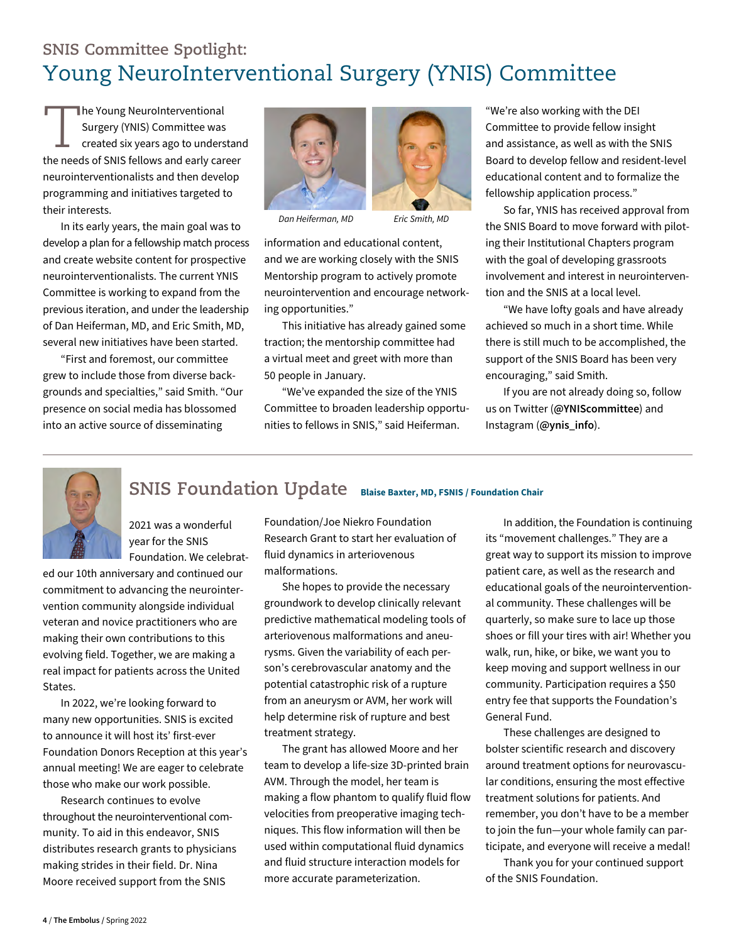## **SNIS Committee Spotlight:**  Young NeuroInterventional Surgery (YNIS) Committee

The Young NeuroInterventional Surgery (YNIS) Committee was created six years ago to understand the needs of SNIS fellows and early career neurointerventionalists and then develop programming and initiatives targeted to their interests.

In its early years, the main goal was to develop a plan for a fellowship match process and create website content for prospective neurointerventionalists. The current YNIS Committee is working to expand from the previous iteration, and under the leadership of Dan Heiferman, MD, and Eric Smith, MD, several new initiatives have been started.

"First and foremost, our committee grew to include those from diverse backgrounds and specialties," said Smith. "Our presence on social media has blossomed into an active source of disseminating



*Dan Heiferman, MD Eric Smith, MD*

information and educational content, and we are working closely with the SNIS Mentorship program to actively promote neurointervention and encourage networking opportunities."

This initiative has already gained some traction; the mentorship committee had a virtual meet and greet with more than 50 people in January.

"We've expanded the size of the YNIS Committee to broaden leadership opportunities to fellows in SNIS," said Heiferman.

"We're also working with the DEI Committee to provide fellow insight and assistance, as well as with the SNIS Board to develop fellow and resident-level educational content and to formalize the fellowship application process."

So far, YNIS has received approval from the SNIS Board to move forward with piloting their Institutional Chapters program with the goal of developing grassroots involvement and interest in neurointervention and the SNIS at a local level.

"We have lofty goals and have already achieved so much in a short time. While there is still much to be accomplished, the support of the SNIS Board has been very encouraging," said Smith.

If you are not already doing so, follow us on Twitter (**@YNIScommittee**) and Instagram (**@ynis\_info**).



#### **SNIS Foundation Update Blaise Baxter, MD, FSNIS / Foundation Chair**

2021 was a wonderful year for the SNIS Foundation. We celebrat-

ed our 10th anniversary and continued our commitment to advancing the neurointervention community alongside individual veteran and novice practitioners who are making their own contributions to this evolving field. Together, we are making a real impact for patients across the United States.

In 2022, we're looking forward to many new opportunities. SNIS is excited to announce it will host its' first-ever Foundation Donors Reception at this year's annual meeting! We are eager to celebrate those who make our work possible.

Research continues to evolve throughout the neurointerventional community. To aid in this endeavor, SNIS distributes research grants to physicians making strides in their field. Dr. Nina Moore received support from the SNIS

Foundation/Joe Niekro Foundation Research Grant to start her evaluation of fluid dynamics in arteriovenous malformations.

She hopes to provide the necessary groundwork to develop clinically relevant predictive mathematical modeling tools of arteriovenous malformations and aneurysms. Given the variability of each person's cerebrovascular anatomy and the potential catastrophic risk of a rupture from an aneurysm or AVM, her work will help determine risk of rupture and best treatment strategy.

The grant has allowed Moore and her team to develop a life-size 3D-printed brain AVM. Through the model, her team is making a flow phantom to qualify fluid flow velocities from preoperative imaging techniques. This flow information will then be used within computational fluid dynamics and fluid structure interaction models for more accurate parameterization.

In addition, the Foundation is continuing its "movement challenges." They are a great way to support its mission to improve patient care, as well as the research and educational goals of the neurointerventional community. These challenges will be quarterly, so make sure to lace up those shoes or fill your tires with air! Whether you walk, run, hike, or bike, we want you to keep moving and support wellness in our community. Participation requires a \$50 entry fee that supports the Foundation's General Fund.

These challenges are designed to bolster scientific research and discovery around treatment options for neurovascular conditions, ensuring the most effective treatment solutions for patients. And remember, you don't have to be a member to join the fun—your whole family can participate, and everyone will receive a medal!

Thank you for your continued support of the SNIS Foundation.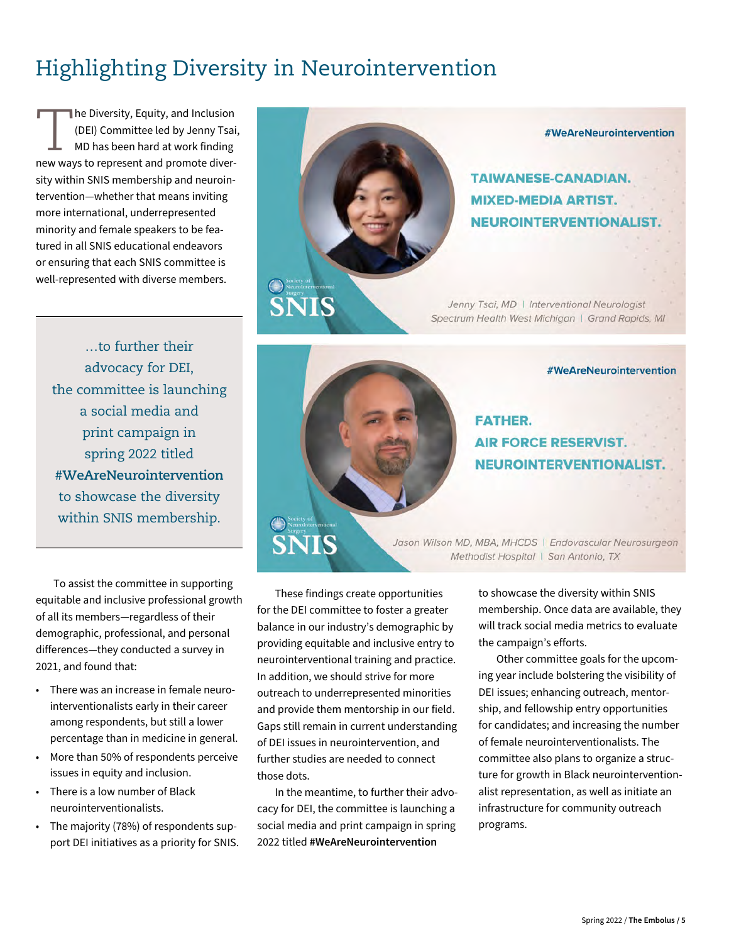## Highlighting Diversity in Neurointervention

The Diversity, Equity, and Inclusion<br>(DEI) Committee led by Jenny Tsai<br>MD has been hard at work finding (DEI) Committee led by Jenny Tsai, MD has been hard at work finding new ways to represent and promote diversity within SNIS membership and neurointervention—whether that means inviting more international, underrepresented minority and female speakers to be featured in all SNIS educational endeavors or ensuring that each SNIS committee is well-represented with diverse members.

…to further their advocacy for DEI, the committee is launching a social media and print campaign in spring 2022 titled **#WeAreNeurointervention** to showcase the diversity within SNIS membership.

To assist the committee in supporting equitable and inclusive professional growth of all its members—regardless of their demographic, professional, and personal differences—they conducted a survey in 2021, and found that:

- There was an increase in female neurointerventionalists early in their career among respondents, but still a lower percentage than in medicine in general.
- More than 50% of respondents perceive issues in equity and inclusion.
- There is a low number of Black neurointerventionalists.
- The majority (78%) of respondents support DEI initiatives as a priority for SNIS.



#WeAreNeurointervention

**TAIWANESE-CANADIAN. MIXED-MEDIA ARTIST. NEUROINTERVENTIONALIST.** 

Jenny Tsai, MD | Interventional Neurologist Spectrum Health West Michigan | Grand Rapids, MI



Jason Wilson MD, MBA, MHCDS | Endovascular Neurosurgeon Methodist Hospital | San Antonio, TX

These findings create opportunities for the DEI committee to foster a greater balance in our industry's demographic by providing equitable and inclusive entry to neurointerventional training and practice. In addition, we should strive for more outreach to underrepresented minorities and provide them mentorship in our field. Gaps still remain in current understanding of DEI issues in neurointervention, and further studies are needed to connect those dots.

**SNIS** 

In the meantime, to further their advocacy for DEI, the committee is launching a social media and print campaign in spring 2022 titled **#WeAreNeurointervention**

to showcase the diversity within SNIS membership. Once data are available, they will track social media metrics to evaluate

the campaign's efforts. Other committee goals for the upcoming year include bolstering the visibility of DEI issues; enhancing outreach, mentorship, and fellowship entry opportunities for candidates; and increasing the number of female neurointerventionalists. The committee also plans to organize a structure for growth in Black neurointerventionalist representation, as well as initiate an infrastructure for community outreach programs.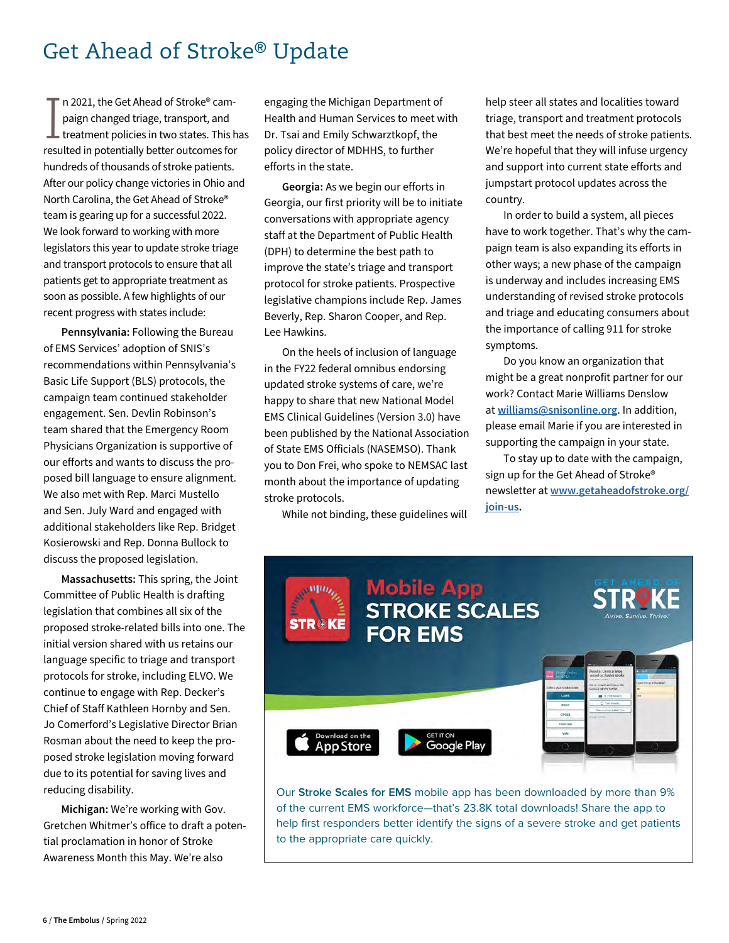### Get Ahead of Stroke® Update

I n 2021, the Get Ahead of Stroke® campaign changed triage, transport, and treatment policies in two states. This has resulted in potentially better outcomes for hundreds of thousands of stroke patients. After our policy change victories in Ohio and North Carolina, the Get Ahead of Stroke® team is gearing up for a successful 2022. We look forward to working with more legislators this year to update stroke triage and transport protocols to ensure that all patients get to appropriate treatment as soon as possible. A few highlights of our recent progress with states include:

**Pennsylvania:** Following the Bureau of EMS Services' adoption of SNIS's recommendations within Pennsylvania's Basic Life Support (BLS) protocols, the campaign team continued stakeholder engagement. Sen. Devlin Robinson's team shared that the Emergency Room Physicians Organization is supportive of our efforts and wants to discuss the proposed bill language to ensure alignment. We also met with Rep. Marci Mustello and Sen. July Ward and engaged with additional stakeholders like Rep. Bridget Kosierowski and Rep. Donna Bullock to discuss the proposed legislation.

**Massachusetts:** This spring, the Joint Committee of Public Health is drafting legislation that combines all six of the proposed stroke-related bills into one. The initial version shared with us retains our language specific to triage and transport protocols for stroke, including ELVO. We continue to engage with Rep. Decker's Chief of Staff Kathleen Hornby and Sen. Jo Comerford's Legislative Director Brian Rosman about the need to keep the proposed stroke legislation moving forward due to its potential for saving lives and reducing disability.

**Michigan:** We're working with Gov. Gretchen Whitmer's office to draft a potential proclamation in honor of Stroke Awareness Month this May. We're also

engaging the Michigan Department of Health and Human Services to meet with Dr. Tsai and Emily Schwarztkopf, the policy director of MDHHS, to further efforts in the state.

**Georgia:** As we begin our efforts in Georgia, our first priority will be to initiate conversations with appropriate agency staff at the Department of Public Health (DPH) to determine the best path to improve the state's triage and transport protocol for stroke patients. Prospective legislative champions include Rep. James Beverly, Rep. Sharon Cooper, and Rep. Lee Hawkins.

On the heels of inclusion of language in the FY22 federal omnibus endorsing updated stroke systems of care, we're happy to share that new National Model EMS Clinical Guidelines (Version 3.0) have been published by the National Association of State EMS Officials (NASEMSO). Thank you to Don Frei, who spoke to NEMSAC last month about the importance of updating stroke protocols.

While not binding, these guidelines will

help steer all states and localities toward triage, transport and treatment protocols that best meet the needs of stroke patients. We're hopeful that they will infuse urgency and support into current state efforts and jumpstart protocol updates across the country.

In order to build a system, all pieces have to work together. That's why the campaign team is also expanding its efforts in other ways; a new phase of the campaign is underway and includes increasing EMS understanding of revised stroke protocols and triage and educating consumers about the importance of calling 911 for stroke symptoms.

Do you know an organization that might be a great nonprofit partner for our work? Contact Marie Williams Denslow at **williams@snisonline.org**. In addition, please email Marie if you are interested in supporting the campaign in your state.

To stay up to date with the campaign, sign up for the Get Ahead of Stroke® newsletter at **[www.getaheadofstroke.org/](http://getaheadofstroke.org/join-us/) [join-us.](http://getaheadofstroke.org/join-us/)**



Our **Stroke Scales for EMS** mobile app has been downloaded by more than 9% of the current EMS workforce—that's 23.8K total downloads! Share the app to help first responders better identify the signs of a severe stroke and get patients to the appropriate care quickly.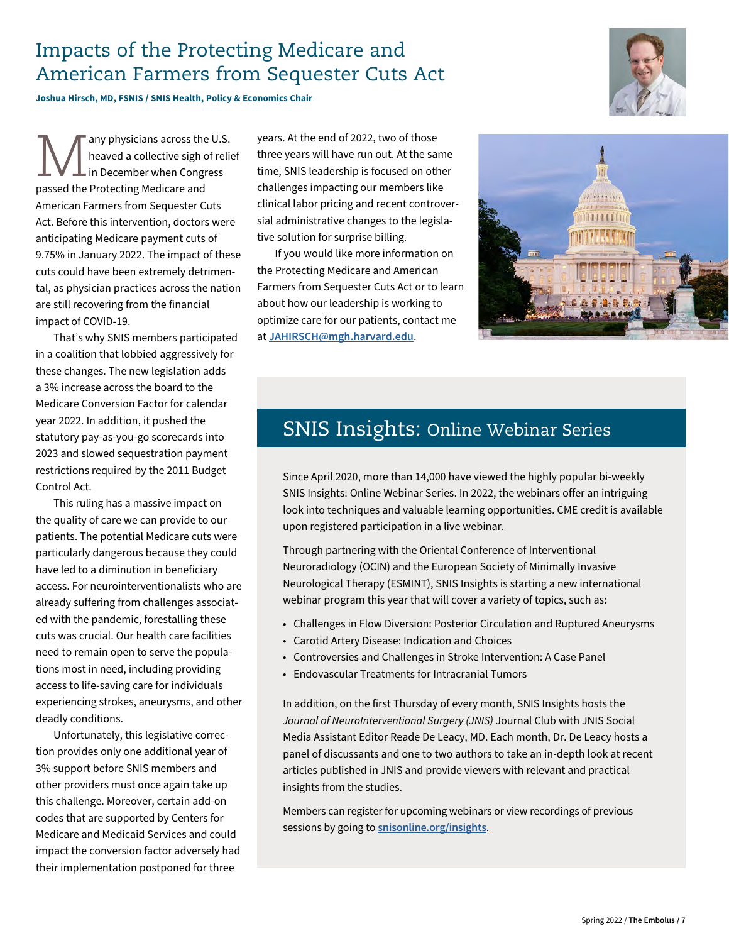#### Impacts of the Protecting Medicare and American Farmers from Sequester Cuts Act

**Joshua Hirsch, MD, FSNIS / SNIS Health, Policy & Economics Chair**

**Many physicians across the U.S.**<br>
In December when Congress<br> **Also Bestecting Modicare and** heaved a collective sigh of relief in December when Congress passed the Protecting Medicare and American Farmers from Sequester Cuts Act. Before this intervention, doctors were anticipating Medicare payment cuts of 9.75% in January 2022. The impact of these cuts could have been extremely detrimental, as physician practices across the nation are still recovering from the financial impact of COVID-19.

That's why SNIS members participated in a coalition that lobbied aggressively for these changes. The new legislation adds a 3% increase across the board to the Medicare Conversion Factor for calendar year 2022. In addition, it pushed the statutory pay-as-you-go scorecards into 2023 and slowed sequestration payment restrictions required by the 2011 Budget Control Act.

This ruling has a massive impact on the quality of care we can provide to our patients. The potential Medicare cuts were particularly dangerous because they could have led to a diminution in beneficiary access. For neurointerventionalists who are already suffering from challenges associated with the pandemic, forestalling these cuts was crucial. Our health care facilities need to remain open to serve the populations most in need, including providing access to life-saving care for individuals experiencing strokes, aneurysms, and other deadly conditions.

Unfortunately, this legislative correction provides only one additional year of 3% support before SNIS members and other providers must once again take up this challenge. Moreover, certain add-on codes that are supported by Centers for Medicare and Medicaid Services and could impact the conversion factor adversely had their implementation postponed for three

years. At the end of 2022, two of those three years will have run out. At the same time, SNIS leadership is focused on other challenges impacting our members like clinical labor pricing and recent controversial administrative changes to the legislative solution for surprise billing.

If you would like more information on the Protecting Medicare and American Farmers from Sequester Cuts Act or to learn about how our leadership is working to optimize care for our patients, contact me at **JAHIRSCH@mgh.harvard.edu**.



### SNIS Insights: Online Webinar Series

Since April 2020, more than 14,000 have viewed the highly popular bi-weekly SNIS Insights: Online Webinar Series. In 2022, the webinars offer an intriguing look into techniques and valuable learning opportunities. CME credit is available upon registered participation in a live webinar.

Through partnering with the Oriental Conference of Interventional Neuroradiology (OCIN) and the European Society of Minimally Invasive Neurological Therapy (ESMINT), SNIS Insights is starting a new international webinar program this year that will cover a variety of topics, such as:

- Challenges in Flow Diversion: Posterior Circulation and Ruptured Aneurysms
- Carotid Artery Disease: Indication and Choices
- Controversies and Challenges in Stroke Intervention: A Case Panel
- Endovascular Treatments for Intracranial Tumors

In addition, on the first Thursday of every month, SNIS Insights hosts the *Journal of NeuroInterventional Surgery (JNIS)* Journal Club with JNIS Social Media Assistant Editor Reade De Leacy, MD. Each month, Dr. De Leacy hosts a panel of discussants and one to two authors to take an in-depth look at recent articles published in JNIS and provide viewers with relevant and practical insights from the studies.

Members can register for upcoming webinars or view recordings of previous sessions by going to **[snisonline.org/insights](https://www.snisonline.org/insights/)**.